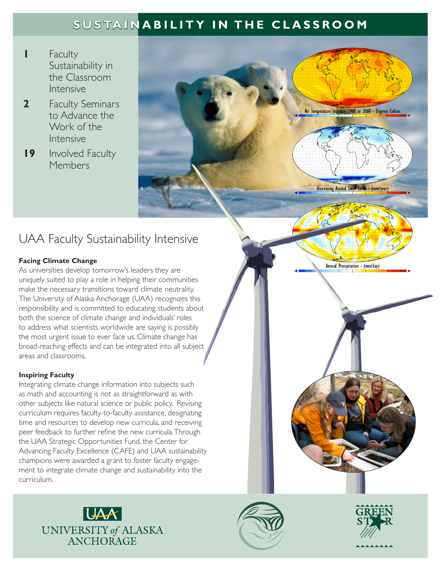# **SUSTAINABILITY IN THE CLASSROOM**

- **1** Faculty Sustainability in the Classroom Intensive
- **2** Faculty Seminars to Advance the Work of the Intensive
- **19** Involved Faculty Members



## UAA Faculty Sustainability Intensive

## **Facing Climate Change**

As universities develop tomorrow's leaders they are uniquely suited to play a role in helping their communities make the necessary transitions toward climate neutrality. The University of Alaska Anchorage (UAA) recognizes this responsibility and is committed to educating students about both the science of climate change and individuals' roles to address what scientists worldwide are saying is possibly the most urgent issue to ever face us. Climate change has broad-reaching effects and can be integrated into all subject areas and classrooms.

## **Inspiring Faculty**

Integrating climate change information into subjects such as math and accounting is not as straightforward as with other subjects like natural science or public policy. Revising curriculum requires faculty-to-faculty assistance, designating time and resources to develop new curricula, and receiving peer feedback to further refine the new curricula. Through the UAA Strategic Opportunities Fund, the Center for Advancing Faculty Excellence (CAFE) and UAA sustainability champions were awarded a grant to foster faculty engagement to integrate climate change and sustainability into the curriculum.







Annual Precipitation - (mm/day)